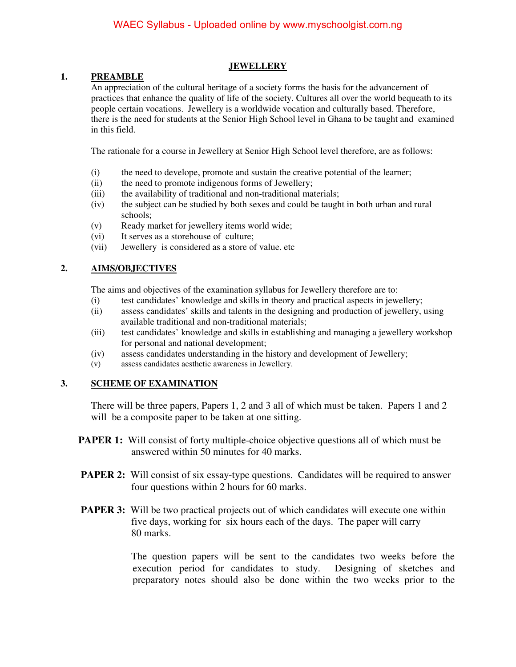## **JEWELLERY**

## **1. PREAMBLE**

An appreciation of the cultural heritage of a society forms the basis for the advancement of practices that enhance the quality of life of the society. Cultures all over the world bequeath to its people certain vocations. Jewellery is a worldwide vocation and culturally based. Therefore, there is the need for students at the Senior High School level in Ghana to be taught and examined in this field.

The rationale for a course in Jewellery at Senior High School level therefore, are as follows:

- (i) the need to develope, promote and sustain the creative potential of the learner;
- (ii) the need to promote indigenous forms of Jewellery;
- (iii) the availability of traditional and non-traditional materials;
- (iv) the subject can be studied by both sexes and could be taught in both urban and rural schools;
- (v) Ready market for jewellery items world wide;
- (vi) It serves as a storehouse of culture;
- (vii) Jewellery is considered as a store of value. etc

# **2. AIMS/OBJECTIVES**

The aims and objectives of the examination syllabus for Jewellery therefore are to:

- (i) test candidates' knowledge and skills in theory and practical aspects in jewellery;
- (ii) assess candidates' skills and talents in the designing and production of jewellery, using available traditional and non-traditional materials;
- (iii) test candidates' knowledge and skills in establishing and managing a jewellery workshop for personal and national development;
- (iv) assess candidates understanding in the history and development of Jewellery;
- (v) assess candidates aesthetic awareness in Jewellery.

#### **3. SCHEME OF EXAMINATION**

There will be three papers, Papers 1, 2 and 3 all of which must be taken. Papers 1 and 2 will be a composite paper to be taken at one sitting.

- **PAPER 1:** Will consist of forty multiple-choice objective questions all of which must be answered within 50 minutes for 40 marks.
- **PAPER 2:** Will consist of six essay-type questions. Candidates will be required to answer four questions within 2 hours for 60 marks.
- **PAPER 3:** Will be two practical projects out of which candidates will execute one within five days, working for six hours each of the days. The paper will carry 80 marks.

 The question papers will be sent to the candidates two weeks before the execution period for candidates to study. Designing of sketches and preparatory notes should also be done within the two weeks prior to the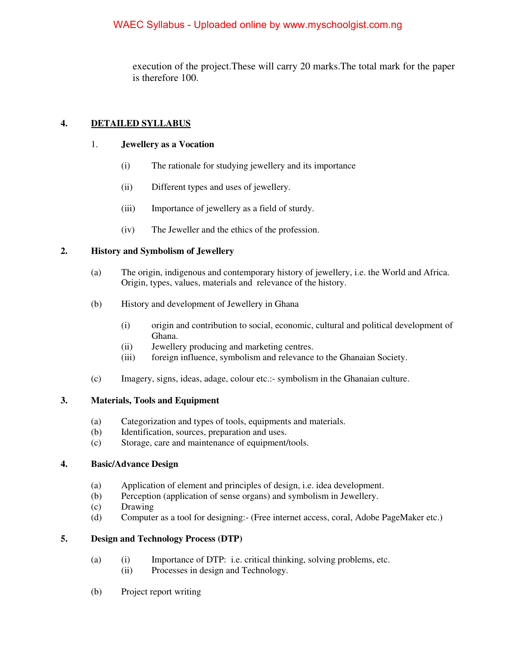execution of the project.These will carry 20 marks.The total mark for the paper is therefore 100.

## **4. DETAILED SYLLABUS**

#### 1. **Jewellery as a Vocation**

- (i) The rationale for studying jewellery and its importance
- (ii) Different types and uses of jewellery.
- (iii) Importance of jewellery as a field of sturdy.
- (iv) The Jeweller and the ethics of the profession.

## **2. History and Symbolism of Jewellery**

- (a) The origin, indigenous and contemporary history of jewellery, i.e. the World and Africa. Origin, types, values, materials and relevance of the history.
- (b) History and development of Jewellery in Ghana
	- (i) origin and contribution to social, economic, cultural and political development of Ghana.
	- (ii) Jewellery producing and marketing centres.
	- (iii) foreign influence, symbolism and relevance to the Ghanaian Society.
- (c) Imagery, signs, ideas, adage, colour etc.:- symbolism in the Ghanaian culture.

# **3. Materials, Tools and Equipment**

- (a) Categorization and types of tools, equipments and materials.
- (b) Identification, sources, preparation and uses.
- (c) Storage, care and maintenance of equipment/tools.

#### **4. Basic/Advance Design**

- (a) Application of element and principles of design, i.e. idea development.
- (b) Perception (application of sense organs) and symbolism in Jewellery.
- (c) Drawing
- (d) Computer as a tool for designing:- (Free internet access, coral, Adobe PageMaker etc.)

# **5. Design and Technology Process (DTP)**

- (a) (i) Importance of DTP: i.e. critical thinking, solving problems, etc.
	- (ii) Processes in design and Technology.
- (b) Project report writing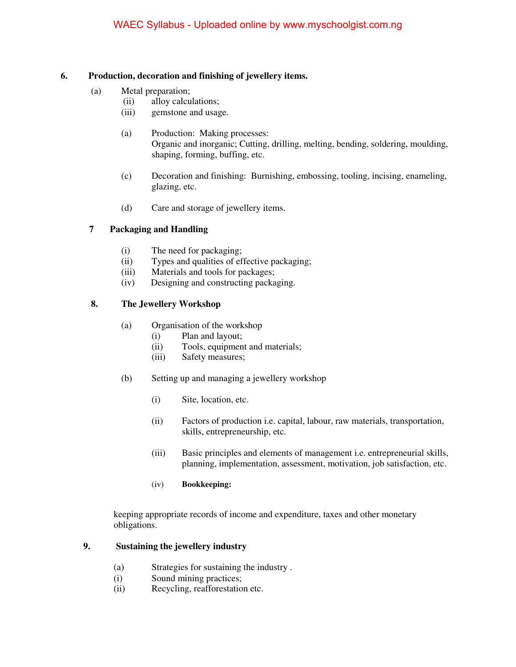#### **6. Production, decoration and finishing of jewellery items.**

- (a) Metal preparation;
	- (ii) alloy calculations;
	- (iii) gemstone and usage.
	- (a) Production: Making processes: Organic and inorganic; Cutting, drilling, melting, bending, soldering, moulding, shaping, forming, buffing, etc.
	- (c) Decoration and finishing: Burnishing, embossing, tooling, incising, enameling, glazing, etc.
	- (d) Care and storage of jewellery items.

# **7 Packaging and Handling**

- (i) The need for packaging;
- (ii) Types and qualities of effective packaging;
- (iii) Materials and tools for packages;
- (iv) Designing and constructing packaging.

# **8. The Jewellery Workshop**

- (a) Organisation of the workshop
	- (i) Plan and layout;
	- (ii) Tools, equipment and materials;
	- (iii) Safety measures;
- (b) Setting up and managing a jewellery workshop
	- (i) Site, location, etc.
	- (ii) Factors of production i.e. capital, labour, raw materials, transportation, skills, entrepreneurship, etc.
	- (iii) Basic principles and elements of management i.e. entrepreneurial skills, planning, implementation, assessment, motivation, job satisfaction, etc.
	- (iv) **Bookkeeping:**

keeping appropriate records of income and expenditure, taxes and other monetary obligations.

#### **9. Sustaining the jewellery industry**

- (a) Strategies for sustaining the industry .
- (i) Sound mining practices;
- (ii) Recycling, reafforestation etc.